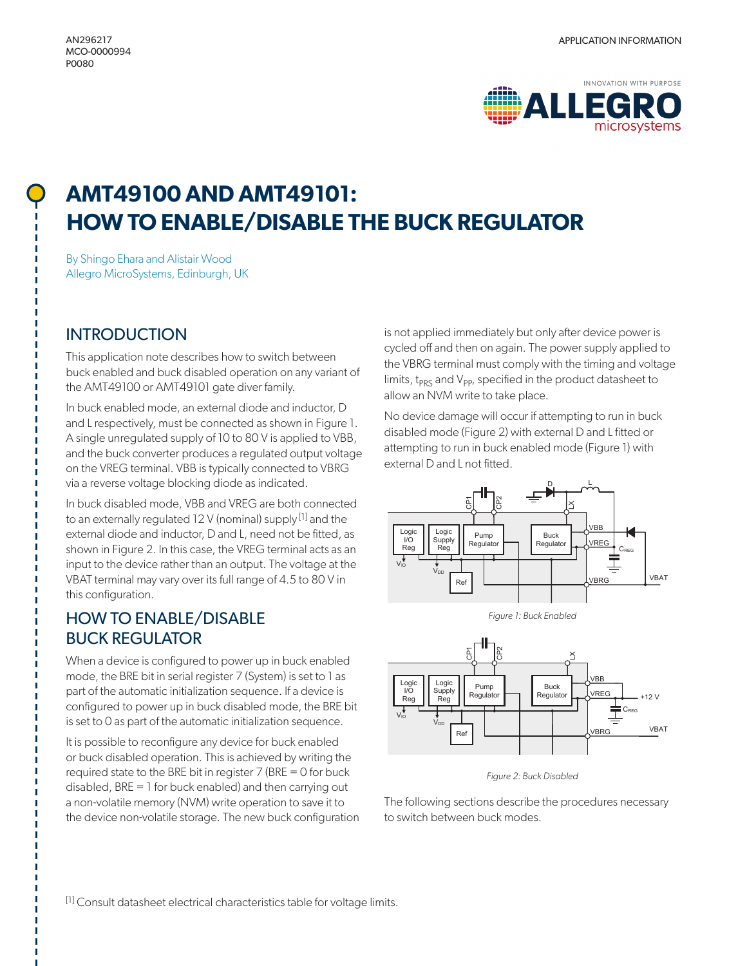

# **AMT49100 AND AMT49101: HOW TO ENABLE/DISABLE THE BUCK REGULATOR**

By Shingo Ehara and Alistair Wood Allegro MicroSystems, Edinburgh, UK

### **INTRODUCTION**

This application note describes how to switch between buck enabled and buck disabled operation on any variant of the AMT49100 or AMT49101 gate diver family.

In buck enabled mode, an external diode and inductor, D and L respectively, must be connected as shown in Figure 1. A single unregulated supply of 10 to 80 V is applied to VBB, and the buck converter produces a regulated output voltage on the VREG terminal. VBB is typically connected to VBRG via a reverse voltage blocking diode as indicated.

In buck disabled mode, VBB and VREG are both connected to an externally regulated 12 V (nominal) supply [1] and the external diode and inductor, D and L, need not be fitted, as shown in Figure 2. In this case, the VREG terminal acts as an input to the device rather than an output. The voltage at the VBAT terminal may vary over its full range of 4.5 to 80 V in this configuration.

### HOW TO ENABLE/DISABLE BUCK REGULATOR

When a device is configured to power up in buck enabled mode, the BRE bit in serial register 7 (System) is set to 1 as part of the automatic initialization sequence. If a device is configured to power up in buck disabled mode, the BRE bit is set to 0 as part of the automatic initialization sequence.

It is possible to reconfigure any device for buck enabled or buck disabled operation. This is achieved by writing the required state to the BRE bit in register 7 (BRE = 0 for buck disabled, BRE = 1 for buck enabled) and then carrying out a non-volatile memory (NVM) write operation to save it to the device non-volatile storage. The new buck configuration is not applied immediately but only after device power is cycled off and then on again. The power supply applied to the VBRG terminal must comply with the timing and voltage limits, t<sub>PRS</sub> and  $V_{PP}$ , specified in the product datasheet to allow an NVM write to take place.

No device damage will occur if attempting to run in buck disabled mode (Figure 2) with external D and L fitted or attempting to run in buck enabled mode (Figure 1) with external D and L not fitted.







*Figure 2: Buck Disabled* 

The following sections describe the procedures necessary to switch between buck modes.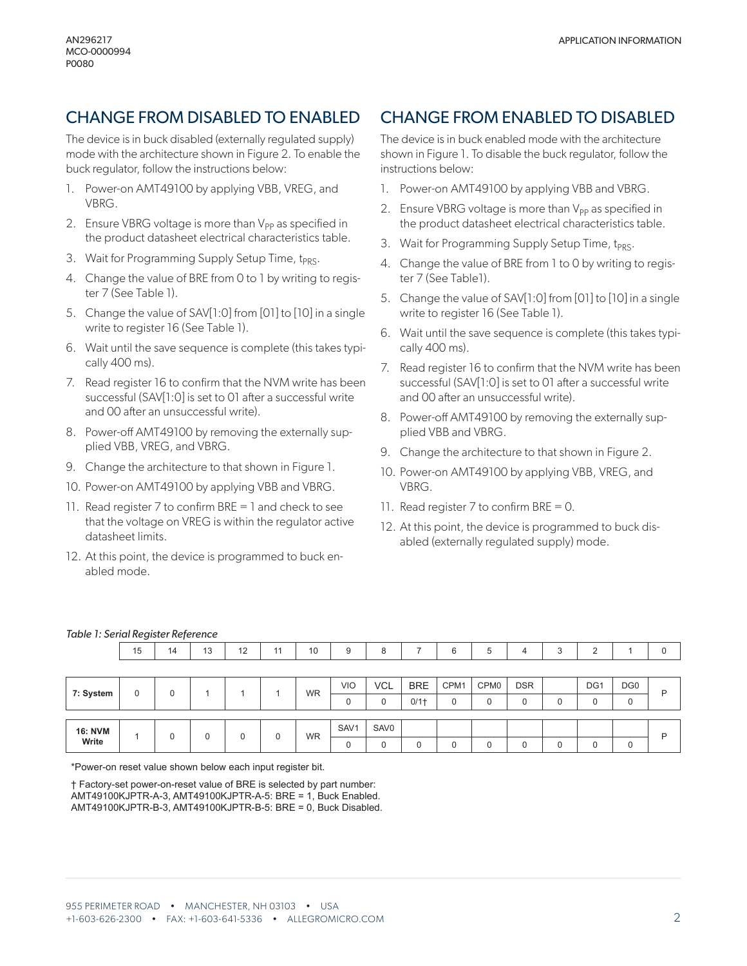## CHANGE FROM DISABLED TO ENABLED

The device is in buck disabled (externally regulated supply) mode with the architecture shown in Figure 2. To enable the buck regulator, follow the instructions below:

- 1. Power-on AMT49100 by applying VBB, VREG, and VBRG.
- 2. Ensure VBRG voltage is more than  $V_{PP}$  as specified in the product datasheet electrical characteristics table.
- 3. Wait for Programming Supply Setup Time, t<sub>PRS</sub>.
- 4. Change the value of BRE from 0 to 1 by writing to register 7 (See Table 1).
- 5. Change the value of SAV[1:0] from [01] to [10] in a single write to register 16 (See Table 1).
- 6. Wait until the save sequence is complete (this takes typically 400 ms).
- 7. Read register 16 to confirm that the NVM write has been successful (SAV[1:0] is set to 01 after a successful write and 00 after an unsuccessful write).
- 8. Power-off AMT49100 by removing the externally supplied VBB, VREG, and VBRG.
- 9. Change the architecture to that shown in Figure 1.
- 10. Power-on AMT49100 by applying VBB and VBRG.
- 11. Read register 7 to confirm BRE = 1 and check to see that the voltage on VREG is within the regulator active datasheet limits.
- 12. At this point, the device is programmed to buck enabled mode.

### CHANGE FROM ENABLED TO DISABLED

The device is in buck enabled mode with the architecture shown in Figure 1. To disable the buck regulator, follow the instructions below:

- 1. Power-on AMT49100 by applying VBB and VBRG.
- 2. Ensure VBRG voltage is more than  $V_{PP}$  as specified in the product datasheet electrical characteristics table.
- 3. Wait for Programming Supply Setup Time,  $t_{PR}$ .
- 4. Change the value of BRE from 1 to 0 by writing to register 7 (See Table1).
- 5. Change the value of SAV[1:0] from [01] to [10] in a single write to register 16 (See Table 1).
- 6. Wait until the save sequence is complete (this takes typically 400 ms).
- 7. Read register 16 to confirm that the NVM write has been successful (SAV[1:0] is set to 01 after a successful write and 00 after an unsuccessful write).
- 8. Power-off AMT49100 by removing the externally supplied VBB and VBRG.
- 9. Change the architecture to that shown in Figure 2.
- 10. Power-on AMT49100 by applying VBB, VREG, and VBRG.
- 11. Read register 7 to confirm BRE = 0.
- 12. At this point, the device is programmed to buck disabled (externally regulated supply) mode.

|                         | 15 | 14 | 13 | 12 | 11 | 10        | 9                | 8                |             | 6    | 5                | 4          | っ<br>J | $\Omega$      |                 | 0 |
|-------------------------|----|----|----|----|----|-----------|------------------|------------------|-------------|------|------------------|------------|--------|---------------|-----------------|---|
|                         |    |    |    |    |    |           |                  |                  |             |      |                  |            |        |               |                 |   |
| 7: System               | 0  |    |    |    |    | <b>WR</b> | <b>VIO</b>       | <b>VCL</b>       | <b>BRE</b>  | CPM1 | CPM <sub>0</sub> | <b>DSR</b> |        | DG1           | DG <sub>0</sub> | D |
|                         |    |    |    |    |    |           | 0                | 0                | $0/1$ †     | 0    | $\Omega$         | 0          | u      | 0             | $\mathbf{0}$    |   |
|                         |    |    |    |    |    |           |                  |                  |             |      |                  |            |        |               |                 |   |
| <b>16: NVM</b><br>Write |    |    |    |    | 0  | <b>WR</b> | SAV <sub>1</sub> | SAV <sub>0</sub> |             |      |                  |            |        |               |                 | P |
|                         |    |    |    |    |    |           | 0                | 0                | $\mathbf 0$ |      | $\Omega$         | 0          |        | $\Omega$<br>υ | $\mathbf 0$     |   |

#### *Table 1: Serial Register Reference*

\*Power-on reset value shown below each input register bit.

† Factory-set power-on-reset value of BRE is selected by part number: AMT49100KJPTR-A-3, AMT49100KJPTR-A-5: BRE = 1, Buck Enabled. AMT49100KJPTR-B-3, AMT49100KJPTR-B-5: BRE = 0, Buck Disabled.